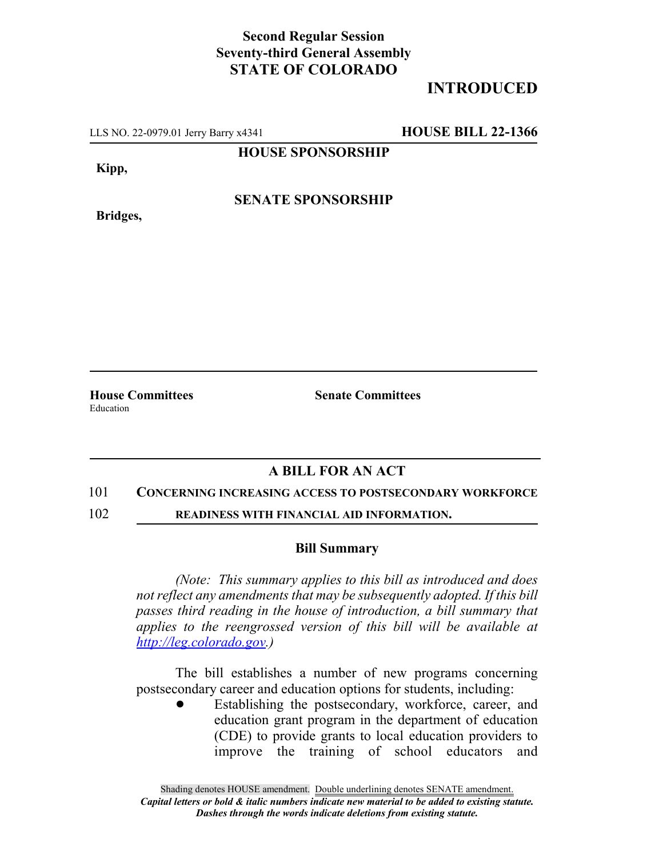## **Second Regular Session Seventy-third General Assembly STATE OF COLORADO**

# **INTRODUCED**

LLS NO. 22-0979.01 Jerry Barry x4341 **HOUSE BILL 22-1366**

**HOUSE SPONSORSHIP**

**Kipp,**

**SENATE SPONSORSHIP**

**Bridges,**

**House Committees Senate Committees** Education

## **A BILL FOR AN ACT**

### 101 **CONCERNING INCREASING ACCESS TO POSTSECONDARY WORKFORCE**

102 **READINESS WITH FINANCIAL AID INFORMATION.**

#### **Bill Summary**

*(Note: This summary applies to this bill as introduced and does not reflect any amendments that may be subsequently adopted. If this bill passes third reading in the house of introduction, a bill summary that applies to the reengrossed version of this bill will be available at http://leg.colorado.gov.)*

The bill establishes a number of new programs concerning postsecondary career and education options for students, including:

Establishing the postsecondary, workforce, career, and education grant program in the department of education (CDE) to provide grants to local education providers to improve the training of school educators and

Shading denotes HOUSE amendment. Double underlining denotes SENATE amendment. *Capital letters or bold & italic numbers indicate new material to be added to existing statute. Dashes through the words indicate deletions from existing statute.*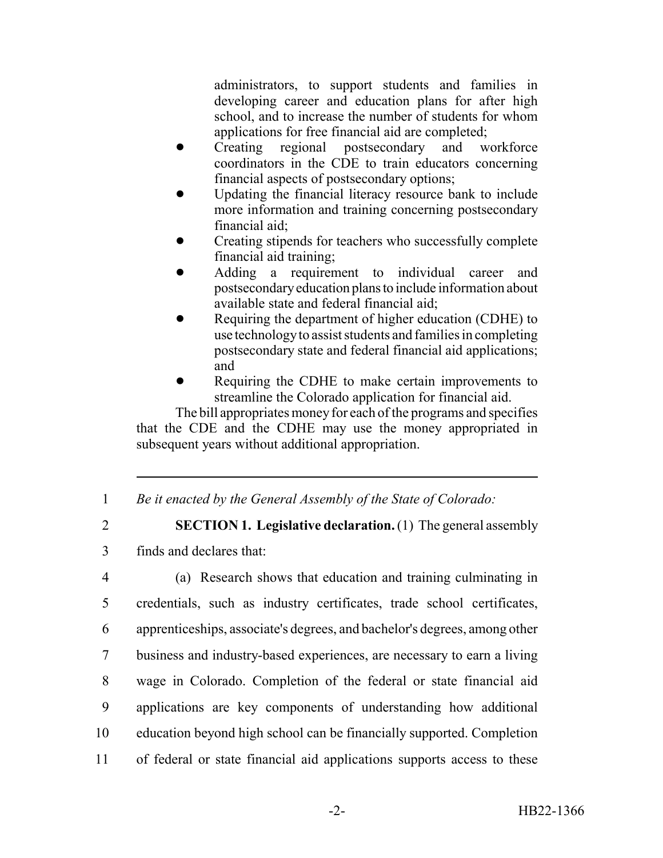administrators, to support students and families in developing career and education plans for after high school, and to increase the number of students for whom applications for free financial aid are completed;

- Creating regional postsecondary and workforce coordinators in the CDE to train educators concerning financial aspects of postsecondary options;
- ! Updating the financial literacy resource bank to include more information and training concerning postsecondary financial aid;
- ! Creating stipends for teachers who successfully complete financial aid training;
- ! Adding a requirement to individual career and postsecondary education plans to include information about available state and federal financial aid;
- Requiring the department of higher education (CDHE) to use technology to assist students and families in completing postsecondary state and federal financial aid applications; and
- Requiring the CDHE to make certain improvements to streamline the Colorado application for financial aid.

The bill appropriates money for each of the programs and specifies that the CDE and the CDHE may use the money appropriated in subsequent years without additional appropriation.

- 1 *Be it enacted by the General Assembly of the State of Colorado:*
- 

2 **SECTION 1. Legislative declaration.** (1) The general assembly 3 finds and declares that:

 (a) Research shows that education and training culminating in credentials, such as industry certificates, trade school certificates, apprenticeships, associate's degrees, and bachelor's degrees, among other business and industry-based experiences, are necessary to earn a living wage in Colorado. Completion of the federal or state financial aid applications are key components of understanding how additional education beyond high school can be financially supported. Completion of federal or state financial aid applications supports access to these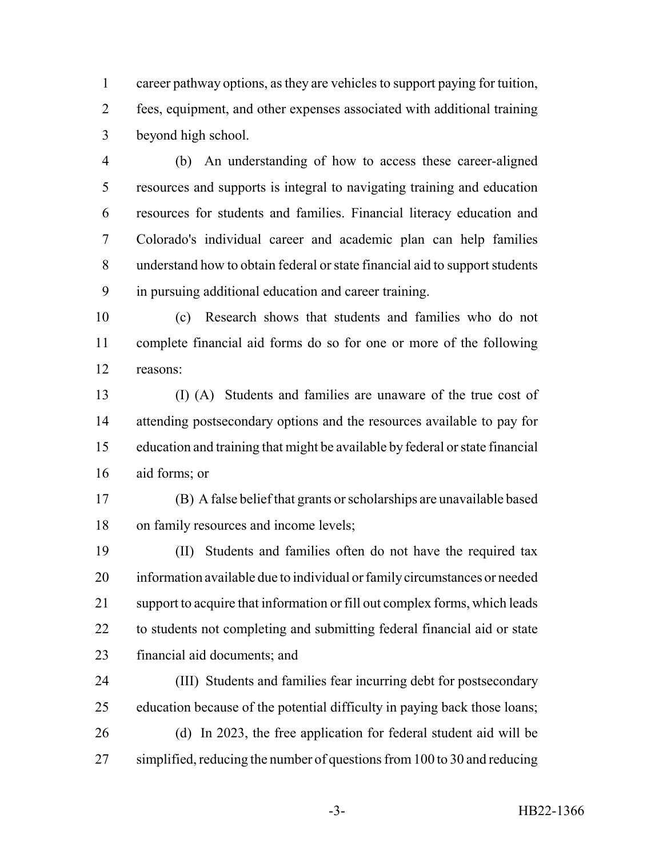career pathway options, as they are vehicles to support paying for tuition, fees, equipment, and other expenses associated with additional training beyond high school.

 (b) An understanding of how to access these career-aligned resources and supports is integral to navigating training and education resources for students and families. Financial literacy education and Colorado's individual career and academic plan can help families understand how to obtain federal or state financial aid to support students in pursuing additional education and career training.

 (c) Research shows that students and families who do not complete financial aid forms do so for one or more of the following reasons:

 (I) (A) Students and families are unaware of the true cost of attending postsecondary options and the resources available to pay for education and training that might be available by federal or state financial aid forms; or

 (B) A false belief that grants or scholarships are unavailable based on family resources and income levels;

 (II) Students and families often do not have the required tax information available due to individual or family circumstances or needed support to acquire that information or fill out complex forms, which leads to students not completing and submitting federal financial aid or state financial aid documents; and

 (III) Students and families fear incurring debt for postsecondary education because of the potential difficulty in paying back those loans; (d) In 2023, the free application for federal student aid will be simplified, reducing the number of questions from 100 to 30 and reducing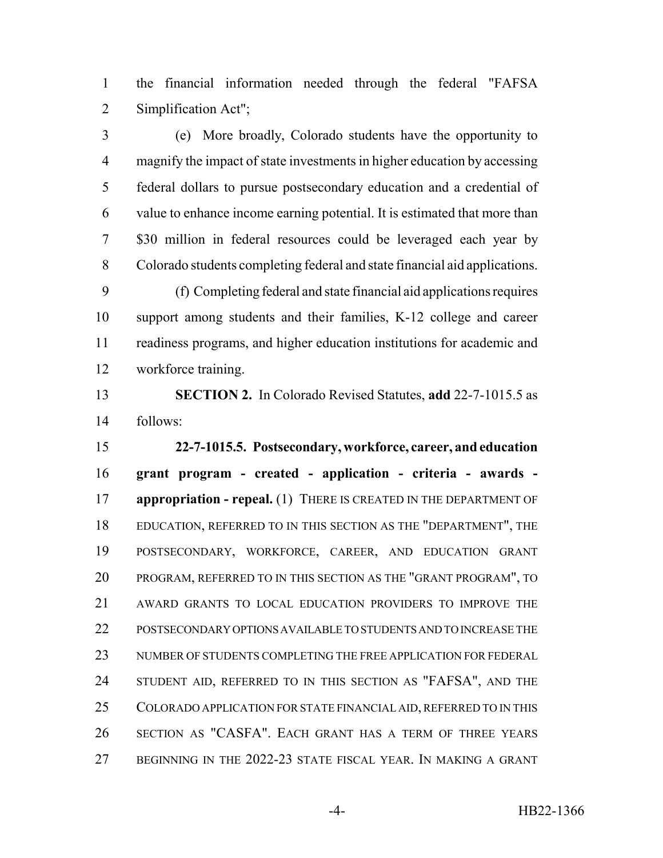the financial information needed through the federal "FAFSA Simplification Act";

 (e) More broadly, Colorado students have the opportunity to magnify the impact of state investments in higher education by accessing federal dollars to pursue postsecondary education and a credential of value to enhance income earning potential. It is estimated that more than \$30 million in federal resources could be leveraged each year by Colorado students completing federal and state financial aid applications.

 (f) Completing federal and state financial aid applications requires support among students and their families, K-12 college and career readiness programs, and higher education institutions for academic and workforce training.

 **SECTION 2.** In Colorado Revised Statutes, **add** 22-7-1015.5 as follows:

 **22-7-1015.5. Postsecondary, workforce, career, and education grant program - created - application - criteria - awards - appropriation - repeal.** (1) THERE IS CREATED IN THE DEPARTMENT OF EDUCATION, REFERRED TO IN THIS SECTION AS THE "DEPARTMENT", THE POSTSECONDARY, WORKFORCE, CAREER, AND EDUCATION GRANT PROGRAM, REFERRED TO IN THIS SECTION AS THE "GRANT PROGRAM", TO AWARD GRANTS TO LOCAL EDUCATION PROVIDERS TO IMPROVE THE POSTSECONDARY OPTIONS AVAILABLE TO STUDENTS AND TO INCREASE THE NUMBER OF STUDENTS COMPLETING THE FREE APPLICATION FOR FEDERAL STUDENT AID, REFERRED TO IN THIS SECTION AS "FAFSA", AND THE COLORADO APPLICATION FOR STATE FINANCIAL AID, REFERRED TO IN THIS SECTION AS "CASFA". EACH GRANT HAS A TERM OF THREE YEARS BEGINNING IN THE 2022-23 STATE FISCAL YEAR. IN MAKING A GRANT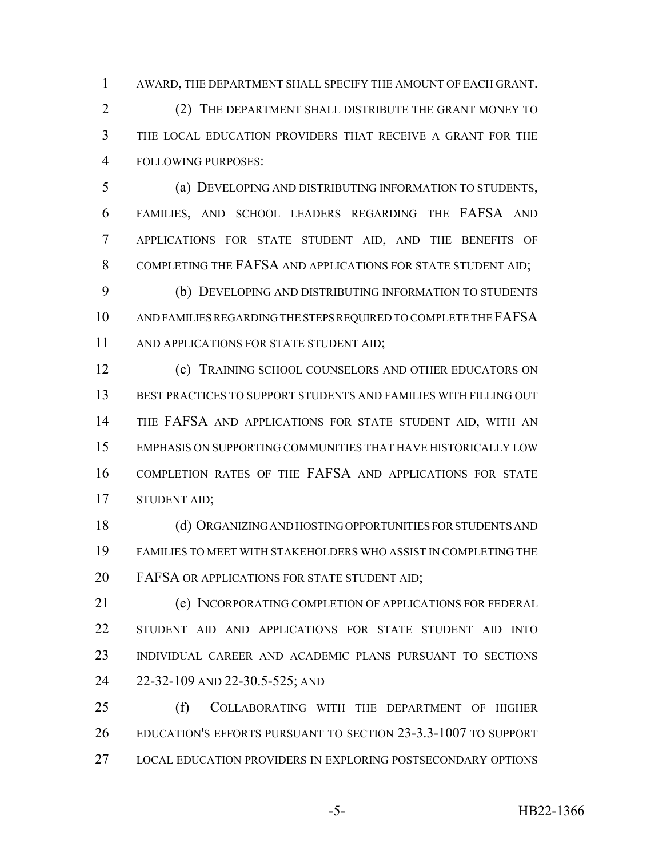AWARD, THE DEPARTMENT SHALL SPECIFY THE AMOUNT OF EACH GRANT.

 (2) THE DEPARTMENT SHALL DISTRIBUTE THE GRANT MONEY TO THE LOCAL EDUCATION PROVIDERS THAT RECEIVE A GRANT FOR THE FOLLOWING PURPOSES:

 (a) DEVELOPING AND DISTRIBUTING INFORMATION TO STUDENTS, FAMILIES, AND SCHOOL LEADERS REGARDING THE FAFSA AND APPLICATIONS FOR STATE STUDENT AID, AND THE BENEFITS OF 8 COMPLETING THE FAFSA AND APPLICATIONS FOR STATE STUDENT AID:

 (b) DEVELOPING AND DISTRIBUTING INFORMATION TO STUDENTS AND FAMILIES REGARDING THE STEPS REQUIRED TO COMPLETE THE FAFSA 11 AND APPLICATIONS FOR STATE STUDENT AID;

 (c) TRAINING SCHOOL COUNSELORS AND OTHER EDUCATORS ON BEST PRACTICES TO SUPPORT STUDENTS AND FAMILIES WITH FILLING OUT THE FAFSA AND APPLICATIONS FOR STATE STUDENT AID, WITH AN EMPHASIS ON SUPPORTING COMMUNITIES THAT HAVE HISTORICALLY LOW COMPLETION RATES OF THE FAFSA AND APPLICATIONS FOR STATE STUDENT AID;

 (d) ORGANIZING AND HOSTING OPPORTUNITIES FOR STUDENTS AND FAMILIES TO MEET WITH STAKEHOLDERS WHO ASSIST IN COMPLETING THE 20 FAFSA OR APPLICATIONS FOR STATE STUDENT AID;

 (e) INCORPORATING COMPLETION OF APPLICATIONS FOR FEDERAL STUDENT AID AND APPLICATIONS FOR STATE STUDENT AID INTO INDIVIDUAL CAREER AND ACADEMIC PLANS PURSUANT TO SECTIONS 22-32-109 AND 22-30.5-525; AND

 (f) COLLABORATING WITH THE DEPARTMENT OF HIGHER EDUCATION'S EFFORTS PURSUANT TO SECTION 23-3.3-1007 TO SUPPORT LOCAL EDUCATION PROVIDERS IN EXPLORING POSTSECONDARY OPTIONS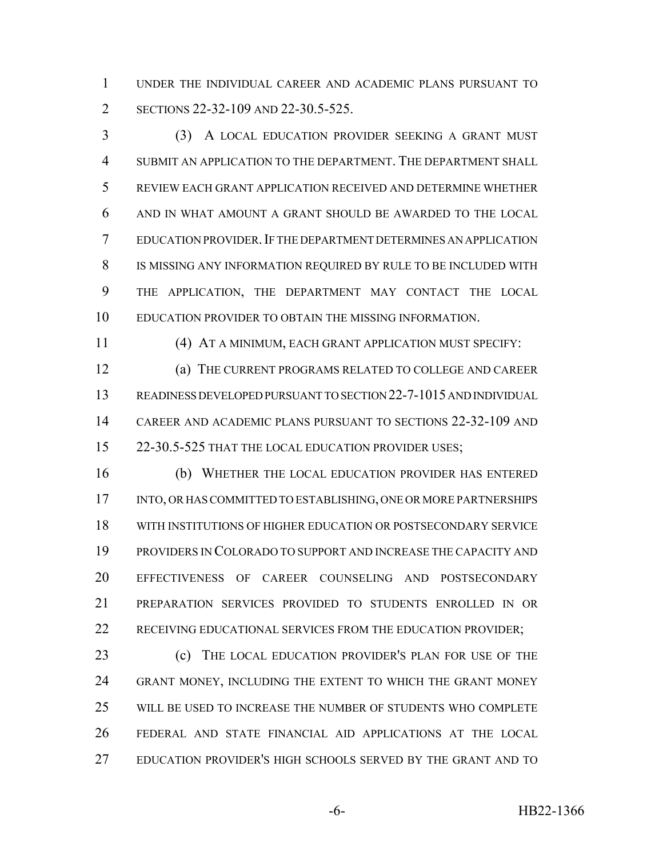UNDER THE INDIVIDUAL CAREER AND ACADEMIC PLANS PURSUANT TO 2 SECTIONS 22-32-109 AND 22-30.5-525.

 (3) A LOCAL EDUCATION PROVIDER SEEKING A GRANT MUST SUBMIT AN APPLICATION TO THE DEPARTMENT. THE DEPARTMENT SHALL REVIEW EACH GRANT APPLICATION RECEIVED AND DETERMINE WHETHER AND IN WHAT AMOUNT A GRANT SHOULD BE AWARDED TO THE LOCAL EDUCATION PROVIDER.IF THE DEPARTMENT DETERMINES AN APPLICATION IS MISSING ANY INFORMATION REQUIRED BY RULE TO BE INCLUDED WITH THE APPLICATION, THE DEPARTMENT MAY CONTACT THE LOCAL EDUCATION PROVIDER TO OBTAIN THE MISSING INFORMATION.

(4) AT A MINIMUM, EACH GRANT APPLICATION MUST SPECIFY:

 (a) THE CURRENT PROGRAMS RELATED TO COLLEGE AND CAREER READINESS DEVELOPED PURSUANT TO SECTION 22-7-1015 AND INDIVIDUAL CAREER AND ACADEMIC PLANS PURSUANT TO SECTIONS 22-32-109 AND 15 22-30.5-525 THAT THE LOCAL EDUCATION PROVIDER USES;

 (b) WHETHER THE LOCAL EDUCATION PROVIDER HAS ENTERED INTO, OR HAS COMMITTED TO ESTABLISHING, ONE OR MORE PARTNERSHIPS WITH INSTITUTIONS OF HIGHER EDUCATION OR POSTSECONDARY SERVICE PROVIDERS IN COLORADO TO SUPPORT AND INCREASE THE CAPACITY AND EFFECTIVENESS OF CAREER COUNSELING AND POSTSECONDARY PREPARATION SERVICES PROVIDED TO STUDENTS ENROLLED IN OR 22 RECEIVING EDUCATIONAL SERVICES FROM THE EDUCATION PROVIDER;

 (c) THE LOCAL EDUCATION PROVIDER'S PLAN FOR USE OF THE GRANT MONEY, INCLUDING THE EXTENT TO WHICH THE GRANT MONEY WILL BE USED TO INCREASE THE NUMBER OF STUDENTS WHO COMPLETE FEDERAL AND STATE FINANCIAL AID APPLICATIONS AT THE LOCAL EDUCATION PROVIDER'S HIGH SCHOOLS SERVED BY THE GRANT AND TO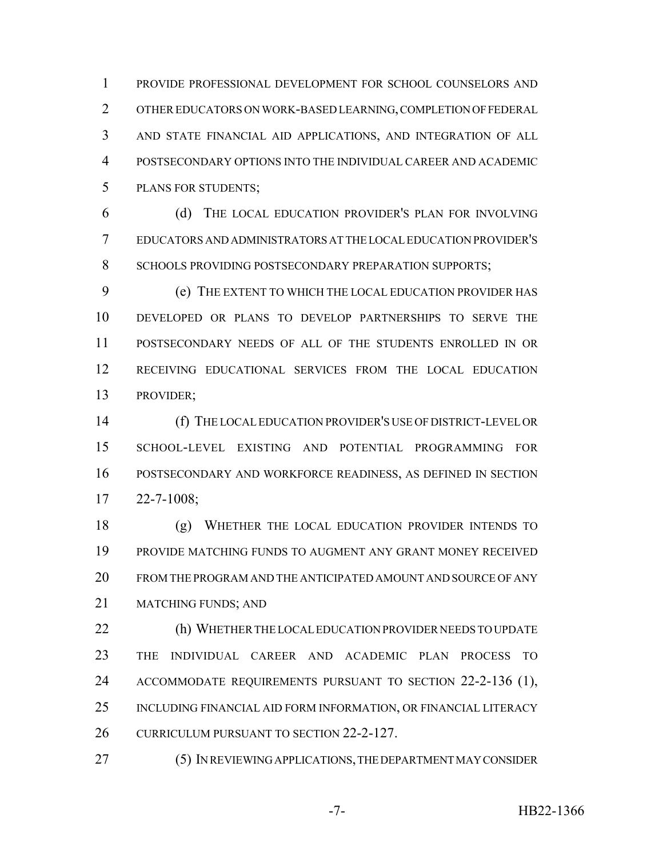PROVIDE PROFESSIONAL DEVELOPMENT FOR SCHOOL COUNSELORS AND OTHER EDUCATORS ON WORK-BASED LEARNING, COMPLETION OF FEDERAL AND STATE FINANCIAL AID APPLICATIONS, AND INTEGRATION OF ALL POSTSECONDARY OPTIONS INTO THE INDIVIDUAL CAREER AND ACADEMIC PLANS FOR STUDENTS;

 (d) THE LOCAL EDUCATION PROVIDER'S PLAN FOR INVOLVING EDUCATORS AND ADMINISTRATORS AT THE LOCAL EDUCATION PROVIDER'S 8 SCHOOLS PROVIDING POSTSECONDARY PREPARATION SUPPORTS:

 (e) THE EXTENT TO WHICH THE LOCAL EDUCATION PROVIDER HAS DEVELOPED OR PLANS TO DEVELOP PARTNERSHIPS TO SERVE THE POSTSECONDARY NEEDS OF ALL OF THE STUDENTS ENROLLED IN OR RECEIVING EDUCATIONAL SERVICES FROM THE LOCAL EDUCATION PROVIDER;

 (f) THE LOCAL EDUCATION PROVIDER'S USE OF DISTRICT-LEVEL OR SCHOOL-LEVEL EXISTING AND POTENTIAL PROGRAMMING FOR POSTSECONDARY AND WORKFORCE READINESS, AS DEFINED IN SECTION 22-7-1008;

 (g) WHETHER THE LOCAL EDUCATION PROVIDER INTENDS TO PROVIDE MATCHING FUNDS TO AUGMENT ANY GRANT MONEY RECEIVED FROM THE PROGRAM AND THE ANTICIPATED AMOUNT AND SOURCE OF ANY MATCHING FUNDS; AND

 (h) WHETHER THE LOCAL EDUCATION PROVIDER NEEDS TO UPDATE THE INDIVIDUAL CAREER AND ACADEMIC PLAN PROCESS TO ACCOMMODATE REQUIREMENTS PURSUANT TO SECTION 22-2-136 (1), INCLUDING FINANCIAL AID FORM INFORMATION, OR FINANCIAL LITERACY 26 CURRICULUM PURSUANT TO SECTION 22-2-127.

(5) IN REVIEWING APPLICATIONS, THE DEPARTMENT MAY CONSIDER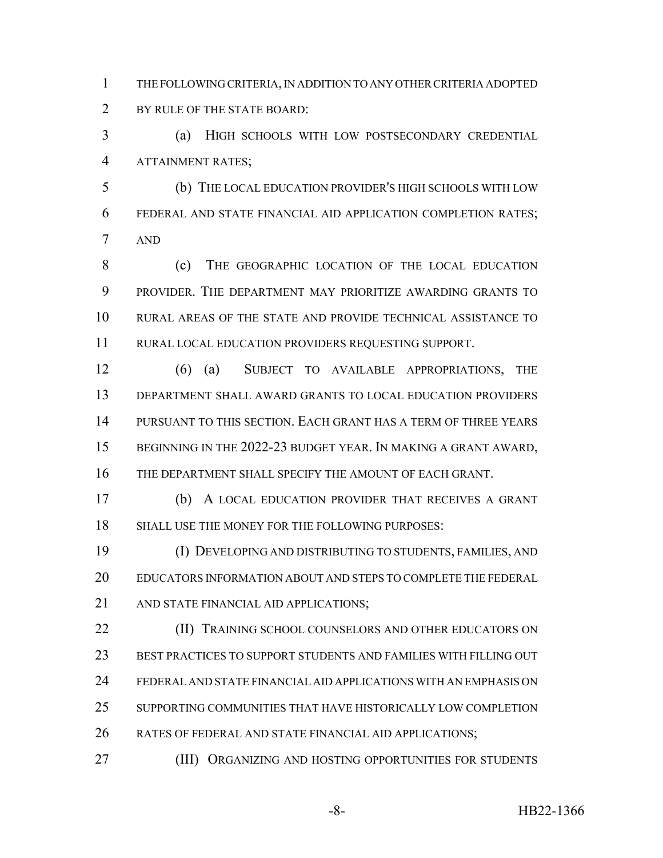THE FOLLOWING CRITERIA, IN ADDITION TO ANY OTHER CRITERIA ADOPTED 2 BY RULE OF THE STATE BOARD:

 (a) HIGH SCHOOLS WITH LOW POSTSECONDARY CREDENTIAL ATTAINMENT RATES;

 (b) THE LOCAL EDUCATION PROVIDER'S HIGH SCHOOLS WITH LOW FEDERAL AND STATE FINANCIAL AID APPLICATION COMPLETION RATES; AND

8 (c) THE GEOGRAPHIC LOCATION OF THE LOCAL EDUCATION PROVIDER. THE DEPARTMENT MAY PRIORITIZE AWARDING GRANTS TO RURAL AREAS OF THE STATE AND PROVIDE TECHNICAL ASSISTANCE TO RURAL LOCAL EDUCATION PROVIDERS REQUESTING SUPPORT.

 (6) (a) SUBJECT TO AVAILABLE APPROPRIATIONS, THE DEPARTMENT SHALL AWARD GRANTS TO LOCAL EDUCATION PROVIDERS PURSUANT TO THIS SECTION. EACH GRANT HAS A TERM OF THREE YEARS BEGINNING IN THE 2022-23 BUDGET YEAR. IN MAKING A GRANT AWARD, THE DEPARTMENT SHALL SPECIFY THE AMOUNT OF EACH GRANT.

 (b) A LOCAL EDUCATION PROVIDER THAT RECEIVES A GRANT SHALL USE THE MONEY FOR THE FOLLOWING PURPOSES:

 (I) DEVELOPING AND DISTRIBUTING TO STUDENTS, FAMILIES, AND EDUCATORS INFORMATION ABOUT AND STEPS TO COMPLETE THE FEDERAL 21 AND STATE FINANCIAL AID APPLICATIONS;

**(II) TRAINING SCHOOL COUNSELORS AND OTHER EDUCATORS ON**  BEST PRACTICES TO SUPPORT STUDENTS AND FAMILIES WITH FILLING OUT FEDERAL AND STATE FINANCIAL AID APPLICATIONS WITH AN EMPHASIS ON SUPPORTING COMMUNITIES THAT HAVE HISTORICALLY LOW COMPLETION 26 RATES OF FEDERAL AND STATE FINANCIAL AID APPLICATIONS;

(III) ORGANIZING AND HOSTING OPPORTUNITIES FOR STUDENTS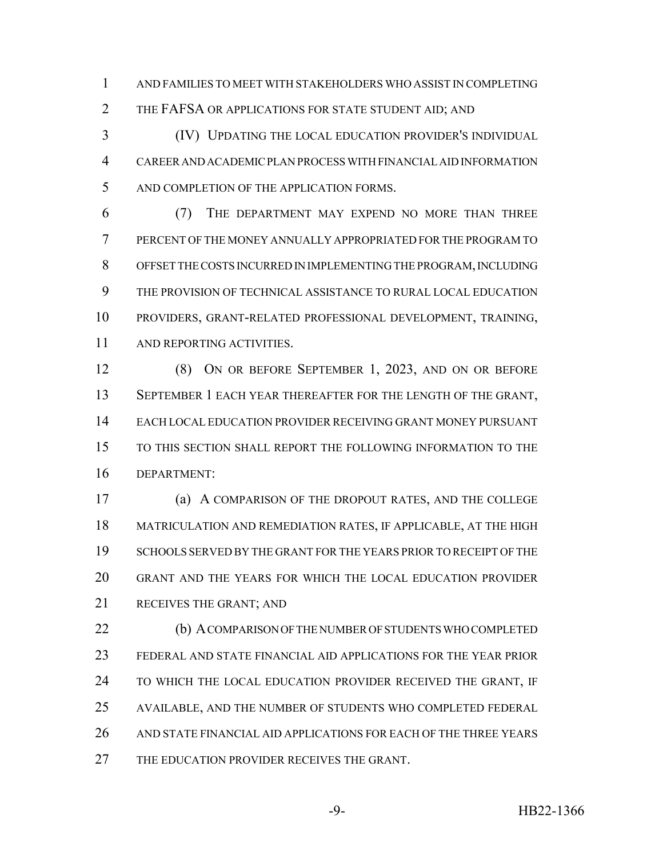AND FAMILIES TO MEET WITH STAKEHOLDERS WHO ASSIST IN COMPLETING 2 THE FAFSA OR APPLICATIONS FOR STATE STUDENT AID; AND

 (IV) UPDATING THE LOCAL EDUCATION PROVIDER'S INDIVIDUAL CAREER AND ACADEMIC PLAN PROCESS WITH FINANCIAL AID INFORMATION AND COMPLETION OF THE APPLICATION FORMS.

 (7) THE DEPARTMENT MAY EXPEND NO MORE THAN THREE PERCENT OF THE MONEY ANNUALLY APPROPRIATED FOR THE PROGRAM TO OFFSET THE COSTS INCURRED IN IMPLEMENTING THE PROGRAM, INCLUDING THE PROVISION OF TECHNICAL ASSISTANCE TO RURAL LOCAL EDUCATION PROVIDERS, GRANT-RELATED PROFESSIONAL DEVELOPMENT, TRAINING, AND REPORTING ACTIVITIES.

 (8) ON OR BEFORE SEPTEMBER 1, 2023, AND ON OR BEFORE SEPTEMBER 1 EACH YEAR THEREAFTER FOR THE LENGTH OF THE GRANT, EACH LOCAL EDUCATION PROVIDER RECEIVING GRANT MONEY PURSUANT TO THIS SECTION SHALL REPORT THE FOLLOWING INFORMATION TO THE DEPARTMENT:

 (a) A COMPARISON OF THE DROPOUT RATES, AND THE COLLEGE MATRICULATION AND REMEDIATION RATES, IF APPLICABLE, AT THE HIGH SCHOOLS SERVED BY THE GRANT FOR THE YEARS PRIOR TO RECEIPT OF THE GRANT AND THE YEARS FOR WHICH THE LOCAL EDUCATION PROVIDER RECEIVES THE GRANT; AND

 (b) A COMPARISON OF THE NUMBER OF STUDENTS WHO COMPLETED FEDERAL AND STATE FINANCIAL AID APPLICATIONS FOR THE YEAR PRIOR 24 TO WHICH THE LOCAL EDUCATION PROVIDER RECEIVED THE GRANT, IF AVAILABLE, AND THE NUMBER OF STUDENTS WHO COMPLETED FEDERAL 26 AND STATE FINANCIAL AID APPLICATIONS FOR EACH OF THE THREE YEARS 27 THE EDUCATION PROVIDER RECEIVES THE GRANT.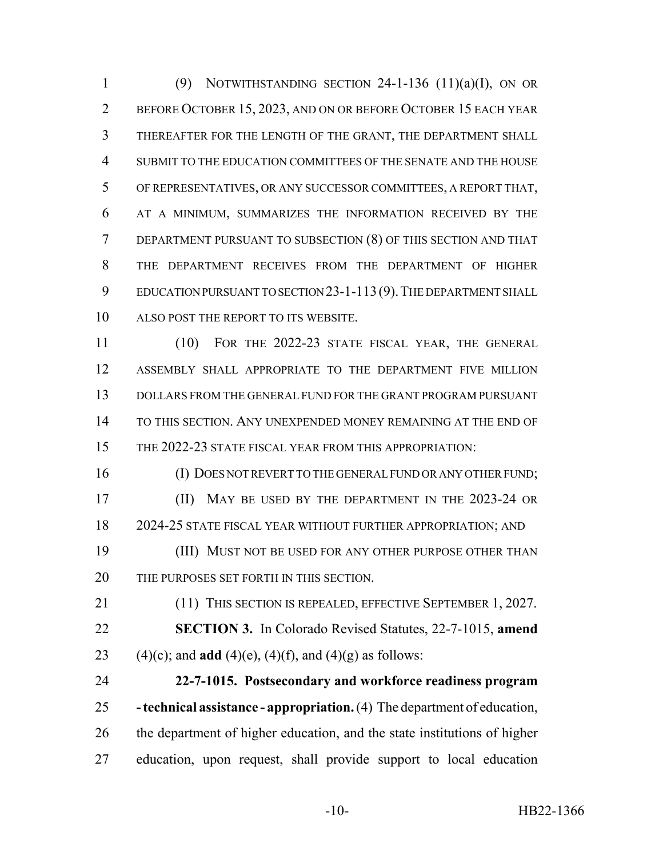1 (9) NOTWITHSTANDING SECTION -1-136  $(11)(a)(I)$ , ON OR BEFORE OCTOBER 15, 2023, AND ON OR BEFORE OCTOBER 15 EACH YEAR THEREAFTER FOR THE LENGTH OF THE GRANT, THE DEPARTMENT SHALL SUBMIT TO THE EDUCATION COMMITTEES OF THE SENATE AND THE HOUSE OF REPRESENTATIVES, OR ANY SUCCESSOR COMMITTEES, A REPORT THAT, AT A MINIMUM, SUMMARIZES THE INFORMATION RECEIVED BY THE DEPARTMENT PURSUANT TO SUBSECTION (8) OF THIS SECTION AND THAT THE DEPARTMENT RECEIVES FROM THE DEPARTMENT OF HIGHER EDUCATION PURSUANT TO SECTION 23-1-113(9).THE DEPARTMENT SHALL ALSO POST THE REPORT TO ITS WEBSITE.

 (10) FOR THE 2022-23 STATE FISCAL YEAR, THE GENERAL ASSEMBLY SHALL APPROPRIATE TO THE DEPARTMENT FIVE MILLION DOLLARS FROM THE GENERAL FUND FOR THE GRANT PROGRAM PURSUANT TO THIS SECTION. ANY UNEXPENDED MONEY REMAINING AT THE END OF THE 2022-23 STATE FISCAL YEAR FROM THIS APPROPRIATION:

 (I) DOES NOT REVERT TO THE GENERAL FUND OR ANY OTHER FUND; **(II)** MAY BE USED BY THE DEPARTMENT IN THE 2023-24 OR 2024-25 STATE FISCAL YEAR WITHOUT FURTHER APPROPRIATION; AND

**(III) MUST NOT BE USED FOR ANY OTHER PURPOSE OTHER THAN** 20 THE PURPOSES SET FORTH IN THIS SECTION.

21 (11) THIS SECTION IS REPEALED, EFFECTIVE SEPTEMBER 1, 2027. **SECTION 3.** In Colorado Revised Statutes, 22-7-1015, **amend** 23 (4)(c); and **add** (4)(e), (4)(f), and (4)(g) as follows:

 **22-7-1015. Postsecondary and workforce readiness program - technical assistance - appropriation.** (4) The department of education, the department of higher education, and the state institutions of higher education, upon request, shall provide support to local education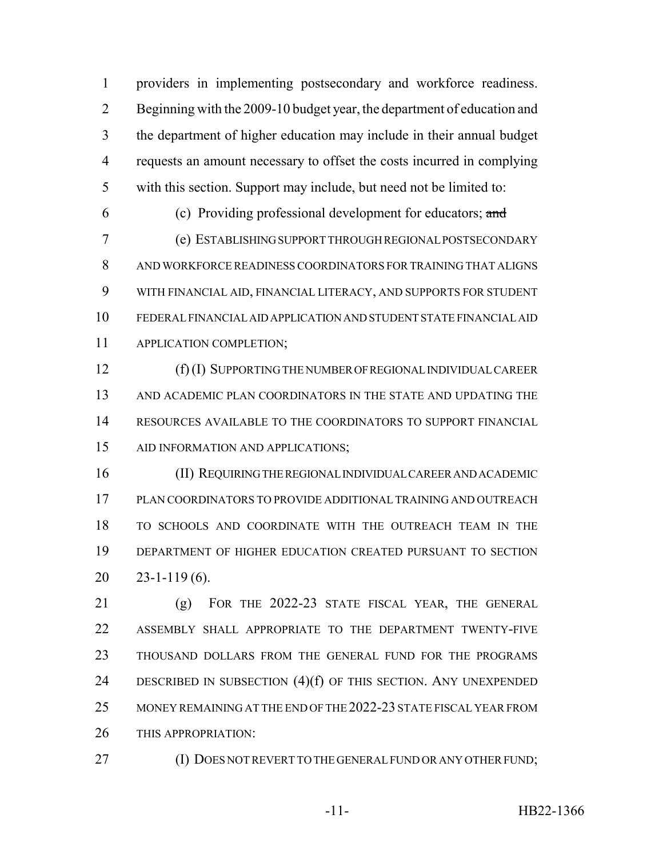providers in implementing postsecondary and workforce readiness. Beginning with the 2009-10 budget year, the department of education and the department of higher education may include in their annual budget requests an amount necessary to offset the costs incurred in complying with this section. Support may include, but need not be limited to:

(c) Providing professional development for educators; and

 (e) ESTABLISHING SUPPORT THROUGH REGIONAL POSTSECONDARY AND WORKFORCE READINESS COORDINATORS FOR TRAINING THAT ALIGNS WITH FINANCIAL AID, FINANCIAL LITERACY, AND SUPPORTS FOR STUDENT FEDERAL FINANCIAL AID APPLICATION AND STUDENT STATE FINANCIAL AID APPLICATION COMPLETION;

 (f) (I) SUPPORTING THE NUMBER OF REGIONAL INDIVIDUAL CAREER AND ACADEMIC PLAN COORDINATORS IN THE STATE AND UPDATING THE RESOURCES AVAILABLE TO THE COORDINATORS TO SUPPORT FINANCIAL AID INFORMATION AND APPLICATIONS;

 (II) REQUIRING THE REGIONAL INDIVIDUAL CAREER AND ACADEMIC PLAN COORDINATORS TO PROVIDE ADDITIONAL TRAINING AND OUTREACH TO SCHOOLS AND COORDINATE WITH THE OUTREACH TEAM IN THE DEPARTMENT OF HIGHER EDUCATION CREATED PURSUANT TO SECTION 23-1-119 (6).

 (g) FOR THE 2022-23 STATE FISCAL YEAR, THE GENERAL ASSEMBLY SHALL APPROPRIATE TO THE DEPARTMENT TWENTY-FIVE THOUSAND DOLLARS FROM THE GENERAL FUND FOR THE PROGRAMS 24 DESCRIBED IN SUBSECTION (4)(f) OF THIS SECTION. ANY UNEXPENDED MONEY REMAINING AT THE END OF THE 2022-23 STATE FISCAL YEAR FROM 26 THIS APPROPRIATION:

27 (I) DOES NOT REVERT TO THE GENERAL FUND OR ANY OTHER FUND;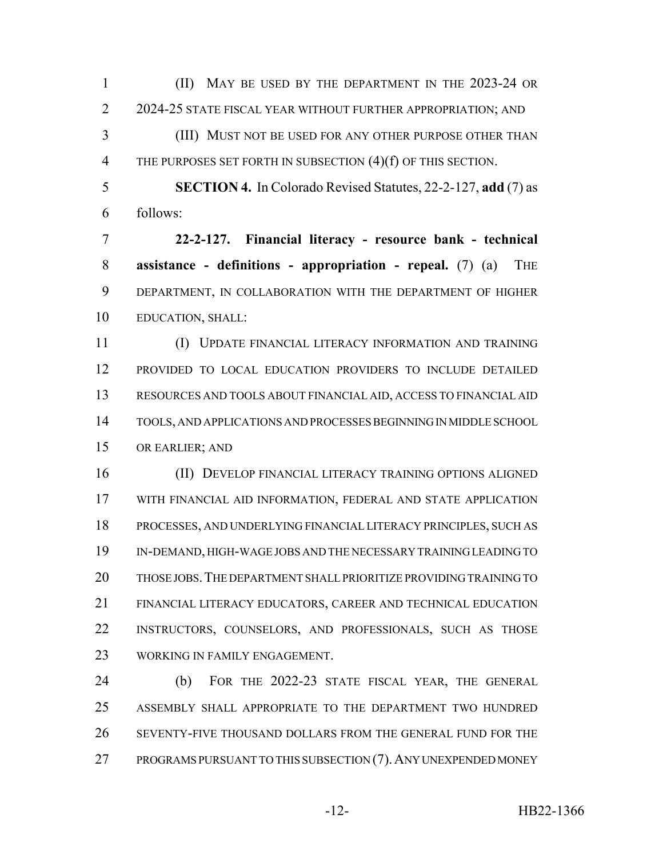(II) MAY BE USED BY THE DEPARTMENT IN THE 2023-24 OR 2 2024-25 STATE FISCAL YEAR WITHOUT FURTHER APPROPRIATION; AND

 (III) MUST NOT BE USED FOR ANY OTHER PURPOSE OTHER THAN 4 THE PURPOSES SET FORTH IN SUBSECTION (4)(f) OF THIS SECTION.

 **SECTION 4.** In Colorado Revised Statutes, 22-2-127, **add** (7) as follows:

 **22-2-127. Financial literacy - resource bank - technical assistance - definitions - appropriation - repeal.** (7) (a) THE DEPARTMENT, IN COLLABORATION WITH THE DEPARTMENT OF HIGHER EDUCATION, SHALL:

 (I) UPDATE FINANCIAL LITERACY INFORMATION AND TRAINING PROVIDED TO LOCAL EDUCATION PROVIDERS TO INCLUDE DETAILED RESOURCES AND TOOLS ABOUT FINANCIAL AID, ACCESS TO FINANCIAL AID TOOLS, AND APPLICATIONS AND PROCESSES BEGINNING IN MIDDLE SCHOOL OR EARLIER; AND

 (II) DEVELOP FINANCIAL LITERACY TRAINING OPTIONS ALIGNED WITH FINANCIAL AID INFORMATION, FEDERAL AND STATE APPLICATION PROCESSES, AND UNDERLYING FINANCIAL LITERACY PRINCIPLES, SUCH AS IN-DEMAND, HIGH-WAGE JOBS AND THE NECESSARY TRAINING LEADING TO THOSE JOBS.THE DEPARTMENT SHALL PRIORITIZE PROVIDING TRAINING TO FINANCIAL LITERACY EDUCATORS, CAREER AND TECHNICAL EDUCATION INSTRUCTORS, COUNSELORS, AND PROFESSIONALS, SUCH AS THOSE WORKING IN FAMILY ENGAGEMENT.

 (b) FOR THE 2022-23 STATE FISCAL YEAR, THE GENERAL ASSEMBLY SHALL APPROPRIATE TO THE DEPARTMENT TWO HUNDRED SEVENTY-FIVE THOUSAND DOLLARS FROM THE GENERAL FUND FOR THE PROGRAMS PURSUANT TO THIS SUBSECTION (7).ANY UNEXPENDED MONEY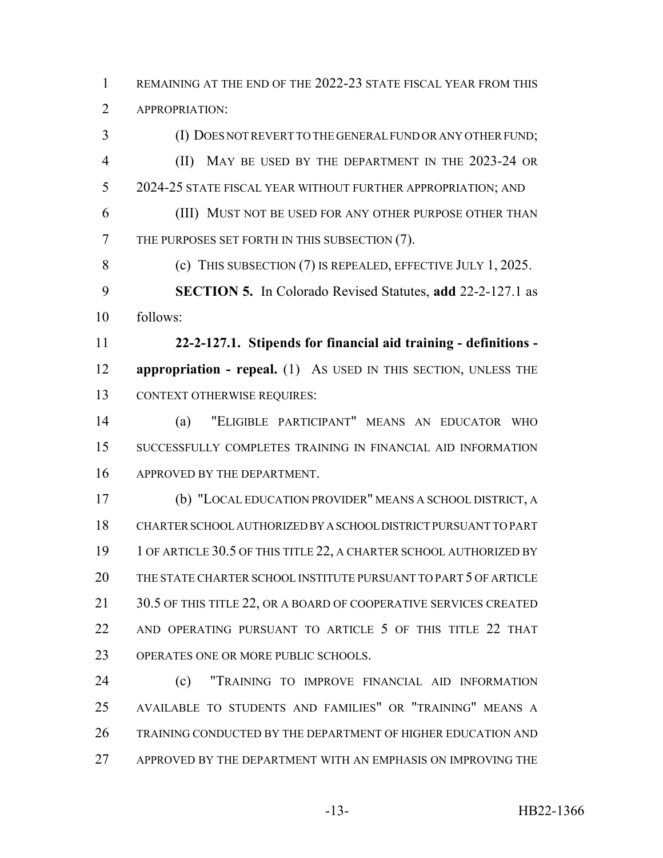REMAINING AT THE END OF THE 2022-23 STATE FISCAL YEAR FROM THIS APPROPRIATION:

 (I) DOES NOT REVERT TO THE GENERAL FUND OR ANY OTHER FUND; (II) MAY BE USED BY THE DEPARTMENT IN THE 2023-24 OR 2024-25 STATE FISCAL YEAR WITHOUT FURTHER APPROPRIATION; AND (III) MUST NOT BE USED FOR ANY OTHER PURPOSE OTHER THAN THE PURPOSES SET FORTH IN THIS SUBSECTION (7). 8 (c) THIS SUBSECTION (7) IS REPEALED, EFFECTIVE JULY 1, 2025. **SECTION 5.** In Colorado Revised Statutes, **add** 22-2-127.1 as follows: **22-2-127.1. Stipends for financial aid training - definitions - appropriation - repeal.** (1) As USED IN THIS SECTION, UNLESS THE CONTEXT OTHERWISE REQUIRES: (a) "ELIGIBLE PARTICIPANT" MEANS AN EDUCATOR WHO SUCCESSFULLY COMPLETES TRAINING IN FINANCIAL AID INFORMATION APPROVED BY THE DEPARTMENT. (b) "LOCAL EDUCATION PROVIDER" MEANS A SCHOOL DISTRICT, A CHARTER SCHOOL AUTHORIZED BY A SCHOOL DISTRICT PURSUANT TO PART 19 1 OF ARTICLE 30.5 OF THIS TITLE 22, A CHARTER SCHOOL AUTHORIZED BY THE STATE CHARTER SCHOOL INSTITUTE PURSUANT TO PART 5 OF ARTICLE 21 30.5 OF THIS TITLE 22, OR A BOARD OF COOPERATIVE SERVICES CREATED 22 AND OPERATING PURSUANT TO ARTICLE 5 OF THIS TITLE 22 THAT OPERATES ONE OR MORE PUBLIC SCHOOLS.

 (c) "TRAINING TO IMPROVE FINANCIAL AID INFORMATION AVAILABLE TO STUDENTS AND FAMILIES" OR "TRAINING" MEANS A TRAINING CONDUCTED BY THE DEPARTMENT OF HIGHER EDUCATION AND APPROVED BY THE DEPARTMENT WITH AN EMPHASIS ON IMPROVING THE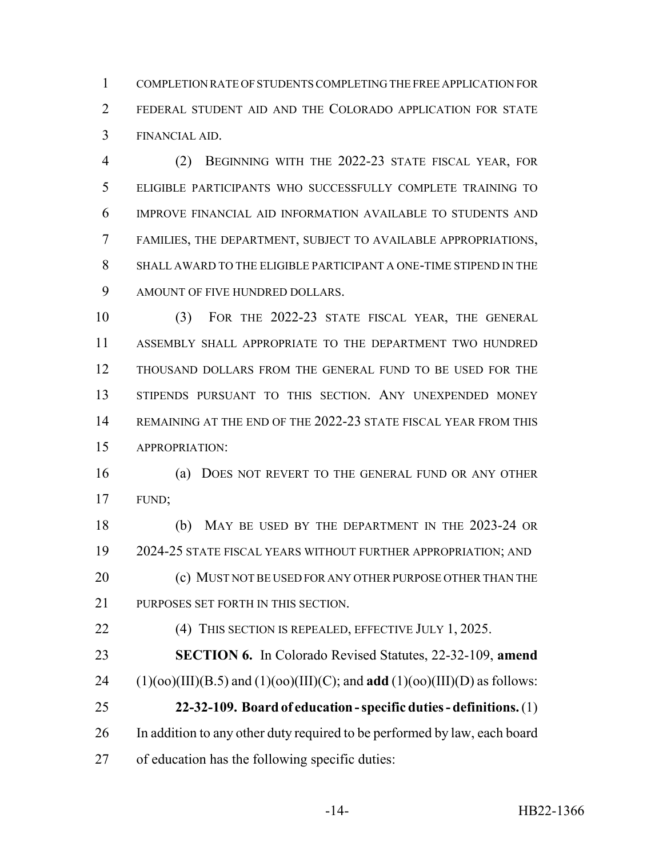COMPLETION RATE OF STUDENTS COMPLETING THE FREE APPLICATION FOR FEDERAL STUDENT AID AND THE COLORADO APPLICATION FOR STATE FINANCIAL AID.

 (2) BEGINNING WITH THE 2022-23 STATE FISCAL YEAR, FOR ELIGIBLE PARTICIPANTS WHO SUCCESSFULLY COMPLETE TRAINING TO IMPROVE FINANCIAL AID INFORMATION AVAILABLE TO STUDENTS AND FAMILIES, THE DEPARTMENT, SUBJECT TO AVAILABLE APPROPRIATIONS, SHALL AWARD TO THE ELIGIBLE PARTICIPANT A ONE-TIME STIPEND IN THE AMOUNT OF FIVE HUNDRED DOLLARS.

 (3) FOR THE 2022-23 STATE FISCAL YEAR, THE GENERAL ASSEMBLY SHALL APPROPRIATE TO THE DEPARTMENT TWO HUNDRED THOUSAND DOLLARS FROM THE GENERAL FUND TO BE USED FOR THE STIPENDS PURSUANT TO THIS SECTION. ANY UNEXPENDED MONEY REMAINING AT THE END OF THE 2022-23 STATE FISCAL YEAR FROM THIS APPROPRIATION:

 (a) DOES NOT REVERT TO THE GENERAL FUND OR ANY OTHER FUND;

 (b) MAY BE USED BY THE DEPARTMENT IN THE 2023-24 OR 2024-25 STATE FISCAL YEARS WITHOUT FURTHER APPROPRIATION; AND 20 (c) MUST NOT BE USED FOR ANY OTHER PURPOSE OTHER THAN THE 21 PURPOSES SET FORTH IN THIS SECTION.

**(4) THIS SECTION IS REPEALED, EFFECTIVE JULY 1, 2025.** 

 **SECTION 6.** In Colorado Revised Statutes, 22-32-109, **amend** 24 (1)(oo)(III)(B.5) and (1)(oo)(III)(C); and **add** (1)(oo)(III)(D) as follows: **22-32-109. Board of education - specific duties - definitions.** (1)

 In addition to any other duty required to be performed by law, each board of education has the following specific duties: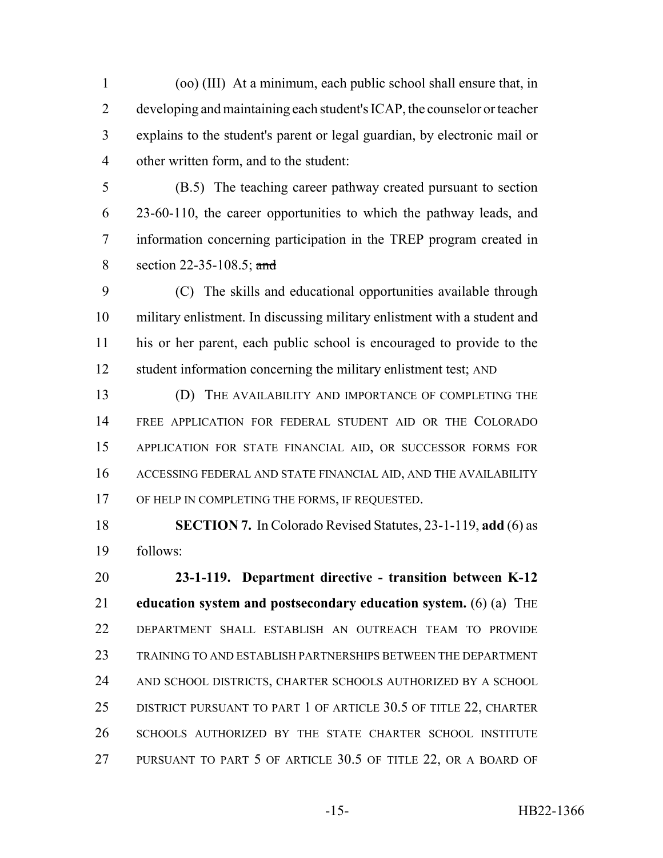(oo) (III) At a minimum, each public school shall ensure that, in developing and maintaining each student's ICAP, the counselor or teacher explains to the student's parent or legal guardian, by electronic mail or other written form, and to the student:

 (B.5) The teaching career pathway created pursuant to section 23-60-110, the career opportunities to which the pathway leads, and information concerning participation in the TREP program created in 8 section 22-35-108.5; and

 (C) The skills and educational opportunities available through military enlistment. In discussing military enlistment with a student and his or her parent, each public school is encouraged to provide to the student information concerning the military enlistment test; AND

 (D) THE AVAILABILITY AND IMPORTANCE OF COMPLETING THE FREE APPLICATION FOR FEDERAL STUDENT AID OR THE COLORADO APPLICATION FOR STATE FINANCIAL AID, OR SUCCESSOR FORMS FOR ACCESSING FEDERAL AND STATE FINANCIAL AID, AND THE AVAILABILITY 17 OF HELP IN COMPLETING THE FORMS, IF REQUESTED.

 **SECTION 7.** In Colorado Revised Statutes, 23-1-119, **add** (6) as follows:

 **23-1-119. Department directive - transition between K-12 education system and postsecondary education system.** (6) (a) THE DEPARTMENT SHALL ESTABLISH AN OUTREACH TEAM TO PROVIDE TRAINING TO AND ESTABLISH PARTNERSHIPS BETWEEN THE DEPARTMENT AND SCHOOL DISTRICTS, CHARTER SCHOOLS AUTHORIZED BY A SCHOOL DISTRICT PURSUANT TO PART 1 OF ARTICLE 30.5 OF TITLE 22, CHARTER SCHOOLS AUTHORIZED BY THE STATE CHARTER SCHOOL INSTITUTE PURSUANT TO PART 5 OF ARTICLE 30.5 OF TITLE 22, OR A BOARD OF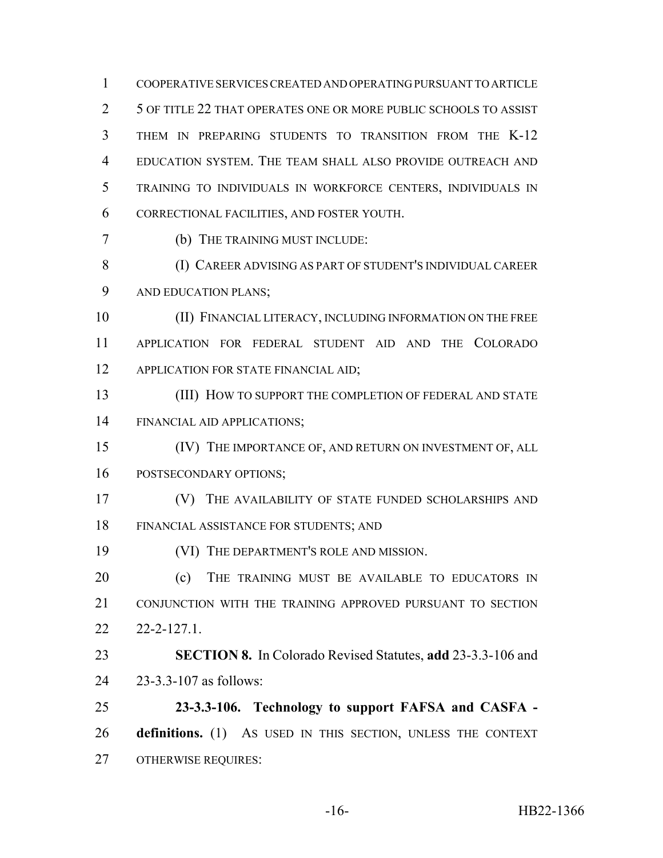COOPERATIVE SERVICES CREATED AND OPERATING PURSUANT TO ARTICLE 5 OF TITLE 22 THAT OPERATES ONE OR MORE PUBLIC SCHOOLS TO ASSIST THEM IN PREPARING STUDENTS TO TRANSITION FROM THE K-12 EDUCATION SYSTEM. THE TEAM SHALL ALSO PROVIDE OUTREACH AND TRAINING TO INDIVIDUALS IN WORKFORCE CENTERS, INDIVIDUALS IN CORRECTIONAL FACILITIES, AND FOSTER YOUTH.

(b) THE TRAINING MUST INCLUDE:

 (I) CAREER ADVISING AS PART OF STUDENT'S INDIVIDUAL CAREER AND EDUCATION PLANS;

 (II) FINANCIAL LITERACY, INCLUDING INFORMATION ON THE FREE APPLICATION FOR FEDERAL STUDENT AID AND THE COLORADO 12 APPLICATION FOR STATE FINANCIAL AID;

13 (III) HOW TO SUPPORT THE COMPLETION OF FEDERAL AND STATE FINANCIAL AID APPLICATIONS;

(IV) THE IMPORTANCE OF, AND RETURN ON INVESTMENT OF, ALL

POSTSECONDARY OPTIONS;

 (V) THE AVAILABILITY OF STATE FUNDED SCHOLARSHIPS AND FINANCIAL ASSISTANCE FOR STUDENTS; AND

(VI) THE DEPARTMENT'S ROLE AND MISSION.

**(c)** THE TRAINING MUST BE AVAILABLE TO EDUCATORS IN CONJUNCTION WITH THE TRAINING APPROVED PURSUANT TO SECTION 22-2-127.1.

 **SECTION 8.** In Colorado Revised Statutes, **add** 23-3.3-106 and 23-3.3-107 as follows:

 **23-3.3-106. Technology to support FAFSA and CASFA - definitions.** (1) AS USED IN THIS SECTION, UNLESS THE CONTEXT OTHERWISE REQUIRES: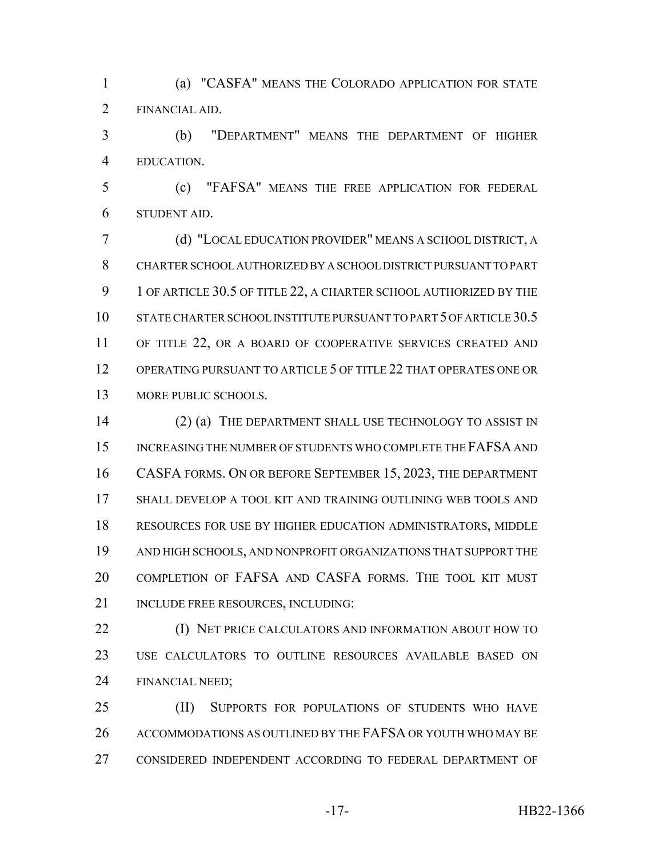(a) "CASFA" MEANS THE COLORADO APPLICATION FOR STATE FINANCIAL AID.

 (b) "DEPARTMENT" MEANS THE DEPARTMENT OF HIGHER EDUCATION.

 (c) "FAFSA" MEANS THE FREE APPLICATION FOR FEDERAL STUDENT AID.

 (d) "LOCAL EDUCATION PROVIDER" MEANS A SCHOOL DISTRICT, A CHARTER SCHOOL AUTHORIZED BY A SCHOOL DISTRICT PURSUANT TO PART 9 1 OF ARTICLE 30.5 OF TITLE 22, A CHARTER SCHOOL AUTHORIZED BY THE 10 STATE CHARTER SCHOOL INSTITUTE PURSUANT TO PART 5 OF ARTICLE 30.5 11 OF TITLE 22, OR A BOARD OF COOPERATIVE SERVICES CREATED AND OPERATING PURSUANT TO ARTICLE 5 OF TITLE 22 THAT OPERATES ONE OR 13 MORE PUBLIC SCHOOLS.

14 (2) (a) THE DEPARTMENT SHALL USE TECHNOLOGY TO ASSIST IN 15 INCREASING THE NUMBER OF STUDENTS WHO COMPLETE THE FAFSA AND CASFA FORMS. ON OR BEFORE SEPTEMBER 15, 2023, THE DEPARTMENT SHALL DEVELOP A TOOL KIT AND TRAINING OUTLINING WEB TOOLS AND RESOURCES FOR USE BY HIGHER EDUCATION ADMINISTRATORS, MIDDLE AND HIGH SCHOOLS, AND NONPROFIT ORGANIZATIONS THAT SUPPORT THE COMPLETION OF FAFSA AND CASFA FORMS. THE TOOL KIT MUST 21 INCLUDE FREE RESOURCES, INCLUDING:

**(I) NET PRICE CALCULATORS AND INFORMATION ABOUT HOW TO**  USE CALCULATORS TO OUTLINE RESOURCES AVAILABLE BASED ON FINANCIAL NEED;

 (II) SUPPORTS FOR POPULATIONS OF STUDENTS WHO HAVE 26 ACCOMMODATIONS AS OUTLINED BY THE FAFSA OR YOUTH WHO MAY BE CONSIDERED INDEPENDENT ACCORDING TO FEDERAL DEPARTMENT OF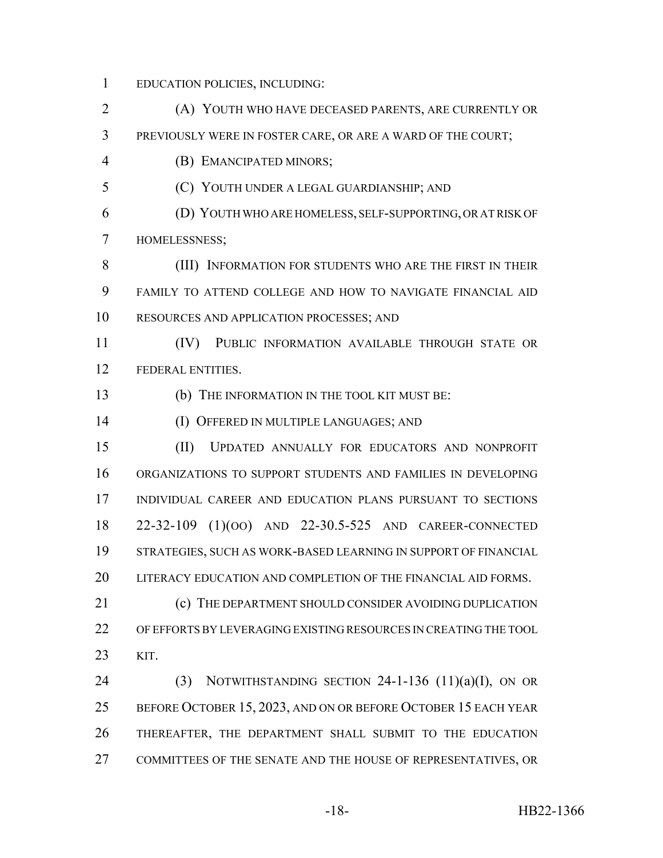- EDUCATION POLICIES, INCLUDING:
- (A) YOUTH WHO HAVE DECEASED PARENTS, ARE CURRENTLY OR PREVIOUSLY WERE IN FOSTER CARE, OR ARE A WARD OF THE COURT; (B) EMANCIPATED MINORS; (C) YOUTH UNDER A LEGAL GUARDIANSHIP; AND (D) YOUTH WHO ARE HOMELESS, SELF-SUPPORTING, OR AT RISK OF HOMELESSNESS; (III) INFORMATION FOR STUDENTS WHO ARE THE FIRST IN THEIR FAMILY TO ATTEND COLLEGE AND HOW TO NAVIGATE FINANCIAL AID RESOURCES AND APPLICATION PROCESSES; AND (IV) PUBLIC INFORMATION AVAILABLE THROUGH STATE OR FEDERAL ENTITIES. (b) THE INFORMATION IN THE TOOL KIT MUST BE: (I) OFFERED IN MULTIPLE LANGUAGES; AND (II) UPDATED ANNUALLY FOR EDUCATORS AND NONPROFIT ORGANIZATIONS TO SUPPORT STUDENTS AND FAMILIES IN DEVELOPING INDIVIDUAL CAREER AND EDUCATION PLANS PURSUANT TO SECTIONS 22-32-109 (1)(OO) AND 22-30.5-525 AND CAREER-CONNECTED STRATEGIES, SUCH AS WORK-BASED LEARNING IN SUPPORT OF FINANCIAL LITERACY EDUCATION AND COMPLETION OF THE FINANCIAL AID FORMS. 21 (c) THE DEPARTMENT SHOULD CONSIDER AVOIDING DUPLICATION OF EFFORTS BY LEVERAGING EXISTING RESOURCES IN CREATING THE TOOL KIT. 24 (3) NOTWITHSTANDING SECTION -1-136  $(11)(a)(I)$ , ON OR BEFORE OCTOBER 15, 2023, AND ON OR BEFORE OCTOBER 15 EACH YEAR THEREAFTER, THE DEPARTMENT SHALL SUBMIT TO THE EDUCATION COMMITTEES OF THE SENATE AND THE HOUSE OF REPRESENTATIVES, OR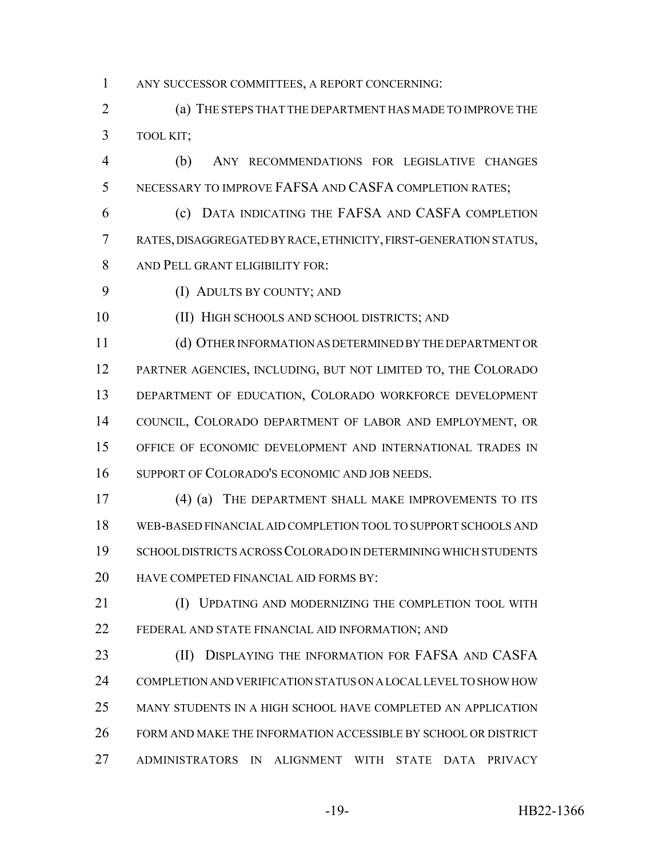ANY SUCCESSOR COMMITTEES, A REPORT CONCERNING:

 (a) THE STEPS THAT THE DEPARTMENT HAS MADE TO IMPROVE THE TOOL KIT;

 (b) ANY RECOMMENDATIONS FOR LEGISLATIVE CHANGES NECESSARY TO IMPROVE FAFSA AND CASFA COMPLETION RATES;

 (c) DATA INDICATING THE FAFSA AND CASFA COMPLETION RATES, DISAGGREGATED BY RACE, ETHNICITY, FIRST-GENERATION STATUS, AND PELL GRANT ELIGIBILITY FOR:

(I) ADULTS BY COUNTY; AND

(II) HIGH SCHOOLS AND SCHOOL DISTRICTS; AND

 (d) OTHER INFORMATION AS DETERMINED BY THE DEPARTMENT OR PARTNER AGENCIES, INCLUDING, BUT NOT LIMITED TO, THE COLORADO DEPARTMENT OF EDUCATION, COLORADO WORKFORCE DEVELOPMENT COUNCIL, COLORADO DEPARTMENT OF LABOR AND EMPLOYMENT, OR OFFICE OF ECONOMIC DEVELOPMENT AND INTERNATIONAL TRADES IN SUPPORT OF COLORADO'S ECONOMIC AND JOB NEEDS.

 (4) (a) THE DEPARTMENT SHALL MAKE IMPROVEMENTS TO ITS WEB-BASED FINANCIAL AID COMPLETION TOOL TO SUPPORT SCHOOLS AND SCHOOL DISTRICTS ACROSS COLORADO IN DETERMINING WHICH STUDENTS HAVE COMPETED FINANCIAL AID FORMS BY:

**(I) UPDATING AND MODERNIZING THE COMPLETION TOOL WITH** FEDERAL AND STATE FINANCIAL AID INFORMATION; AND

**(II) DISPLAYING THE INFORMATION FOR FAFSA AND CASFA**  COMPLETION AND VERIFICATION STATUS ON A LOCAL LEVEL TO SHOW HOW MANY STUDENTS IN A HIGH SCHOOL HAVE COMPLETED AN APPLICATION FORM AND MAKE THE INFORMATION ACCESSIBLE BY SCHOOL OR DISTRICT ADMINISTRATORS IN ALIGNMENT WITH STATE DATA PRIVACY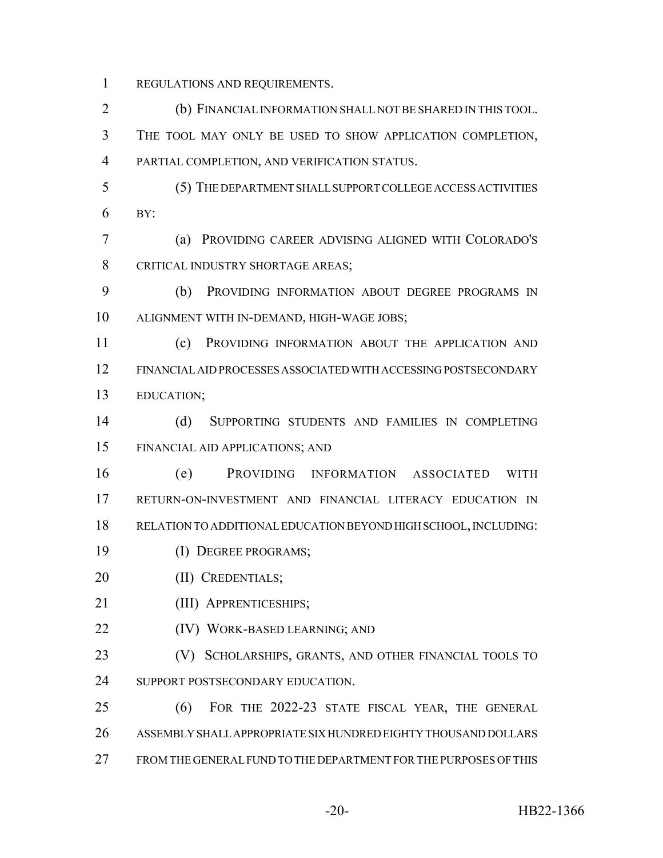REGULATIONS AND REQUIREMENTS.

- (b) FINANCIAL INFORMATION SHALL NOT BE SHARED IN THIS TOOL. THE TOOL MAY ONLY BE USED TO SHOW APPLICATION COMPLETION, PARTIAL COMPLETION, AND VERIFICATION STATUS.
- (5) THE DEPARTMENT SHALL SUPPORT COLLEGE ACCESS ACTIVITIES BY:
- (a) PROVIDING CAREER ADVISING ALIGNED WITH COLORADO'S CRITICAL INDUSTRY SHORTAGE AREAS;
- (b) PROVIDING INFORMATION ABOUT DEGREE PROGRAMS IN ALIGNMENT WITH IN-DEMAND, HIGH-WAGE JOBS;
- (c) PROVIDING INFORMATION ABOUT THE APPLICATION AND FINANCIAL AID PROCESSES ASSOCIATED WITH ACCESSING POSTSECONDARY EDUCATION;
- (d) SUPPORTING STUDENTS AND FAMILIES IN COMPLETING FINANCIAL AID APPLICATIONS; AND
- (e) PROVIDING INFORMATION ASSOCIATED WITH RETURN-ON-INVESTMENT AND FINANCIAL LITERACY EDUCATION IN RELATION TO ADDITIONAL EDUCATION BEYOND HIGH SCHOOL, INCLUDING:
- (I) DEGREE PROGRAMS;
- (II) CREDENTIALS;
- (III) APPRENTICESHIPS;
- 22 (IV) WORK-BASED LEARNING; AND
- 23 (V) SCHOLARSHIPS, GRANTS, AND OTHER FINANCIAL TOOLS TO 24 SUPPORT POSTSECONDARY EDUCATION.
- (6) FOR THE 2022-23 STATE FISCAL YEAR, THE GENERAL ASSEMBLY SHALL APPROPRIATE SIX HUNDRED EIGHTY THOUSAND DOLLARS FROM THE GENERAL FUND TO THE DEPARTMENT FOR THE PURPOSES OF THIS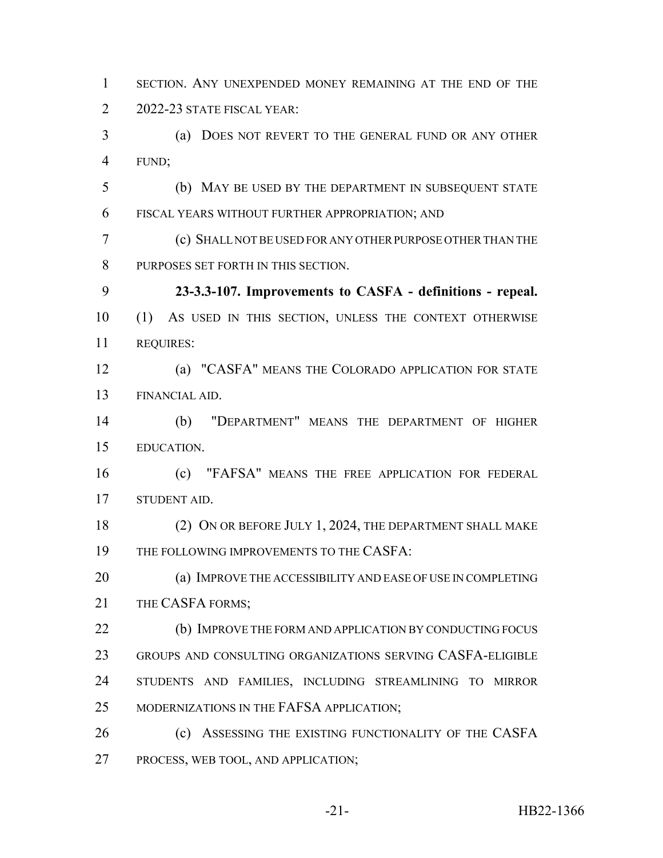SECTION. ANY UNEXPENDED MONEY REMAINING AT THE END OF THE 2022-23 STATE FISCAL YEAR: (a) DOES NOT REVERT TO THE GENERAL FUND OR ANY OTHER FUND;

 (b) MAY BE USED BY THE DEPARTMENT IN SUBSEQUENT STATE FISCAL YEARS WITHOUT FURTHER APPROPRIATION; AND

 (c) SHALL NOT BE USED FOR ANY OTHER PURPOSE OTHER THAN THE PURPOSES SET FORTH IN THIS SECTION.

 **23-3.3-107. Improvements to CASFA - definitions - repeal.** (1) AS USED IN THIS SECTION, UNLESS THE CONTEXT OTHERWISE REQUIRES:

 (a) "CASFA" MEANS THE COLORADO APPLICATION FOR STATE FINANCIAL AID.

 (b) "DEPARTMENT" MEANS THE DEPARTMENT OF HIGHER EDUCATION.

 (c) "FAFSA" MEANS THE FREE APPLICATION FOR FEDERAL STUDENT AID.

18 (2) ON OR BEFORE JULY 1, 2024, THE DEPARTMENT SHALL MAKE 19 THE FOLLOWING IMPROVEMENTS TO THE CASFA:

 (a) IMPROVE THE ACCESSIBILITY AND EASE OF USE IN COMPLETING 21 THE CASFA FORMS:

 (b) IMPROVE THE FORM AND APPLICATION BY CONDUCTING FOCUS GROUPS AND CONSULTING ORGANIZATIONS SERVING CASFA-ELIGIBLE STUDENTS AND FAMILIES, INCLUDING STREAMLINING TO MIRROR 25 MODERNIZATIONS IN THE FAFSA APPLICATION;

**(c)** ASSESSING THE EXISTING FUNCTIONALITY OF THE CASFA PROCESS, WEB TOOL, AND APPLICATION;